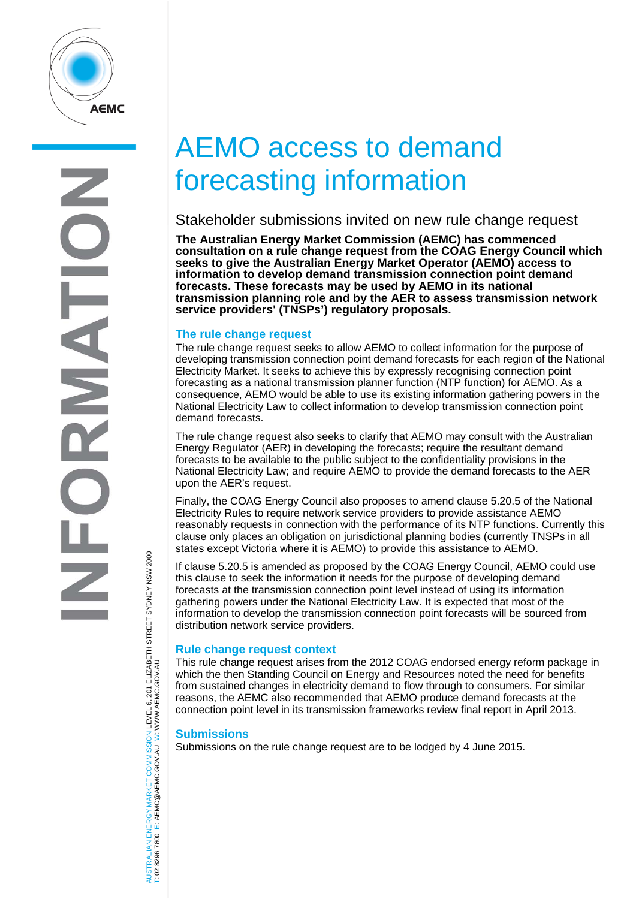

# AEMO access to demand forecasting information

## Stakeholder submissions invited on new rule change request

**The Australian Energy Market Commission (AEMC) has commenced consultation on a rule change request from the COAG Energy Council which seeks to give the Australian Energy Market Operator (AEMO) access to information to develop demand transmission connection point demand forecasts. These forecasts may be used by AEMO in its national transmission planning role and by the AER to assess transmission network service providers' (TNSPs') regulatory proposals.** 

#### **The rule change request**

The rule change request seeks to allow AEMO to collect information for the purpose of developing transmission connection point demand forecasts for each region of the National Electricity Market. It seeks to achieve this by expressly recognising connection point forecasting as a national transmission planner function (NTP function) for AEMO. As a consequence, AEMO would be able to use its existing information gathering powers in the National Electricity Law to collect information to develop transmission connection point demand forecasts.

The rule change request also seeks to clarify that AEMO may consult with the Australian Energy Regulator (AER) in developing the forecasts; require the resultant demand forecasts to be available to the public subject to the confidentiality provisions in the National Electricity Law; and require AEMO to provide the demand forecasts to the AER upon the AER's request.

Finally, the COAG Energy Council also proposes to amend clause 5.20.5 of the National Electricity Rules to require network service providers to provide assistance AEMO reasonably requests in connection with the performance of its NTP functions. Currently this clause only places an obligation on jurisdictional planning bodies (currently TNSPs in all states except Victoria where it is AEMO) to provide this assistance to AEMO.

If clause 5.20.5 is amended as proposed by the COAG Energy Council, AEMO could use this clause to seek the information it needs for the purpose of developing demand forecasts at the transmission connection point level instead of using its information gathering powers under the National Electricity Law. It is expected that most of the information to develop the transmission connection point forecasts will be sourced from distribution network service providers.

### **Rule change request context**

This rule change request arises from the 2012 COAG endorsed energy reform package in which the then Standing Council on Energy and Resources noted the need for benefits from sustained changes in electricity demand to flow through to consumers. For similar reasons, the AEMC also recommended that AEMO produce demand forecasts at the connection point level in its transmission frameworks review final report in April 2013.

#### **Submissions**

Submissions on the rule change request are to be lodged by 4 June 2015.

JSTRALIAN ENERGY MARKET COMMISSION LEVEL 6, 201 ELIZABETH STREET SYDNEY NSM 2000<br>02 8296 7800 E: AEMC@AEMC.GOV.AU W∶WWW.AEMC.GOV.AU AUSTRALIAN ENERGY MARKET COMMISSION LEVEL 6, 201 ELIZABETH STREET SYDNEY NSW 2000 W: WWW.AEMC.GOV.AU T: 02 8296 7800 E: AEMC@AEMC.GOV.AU